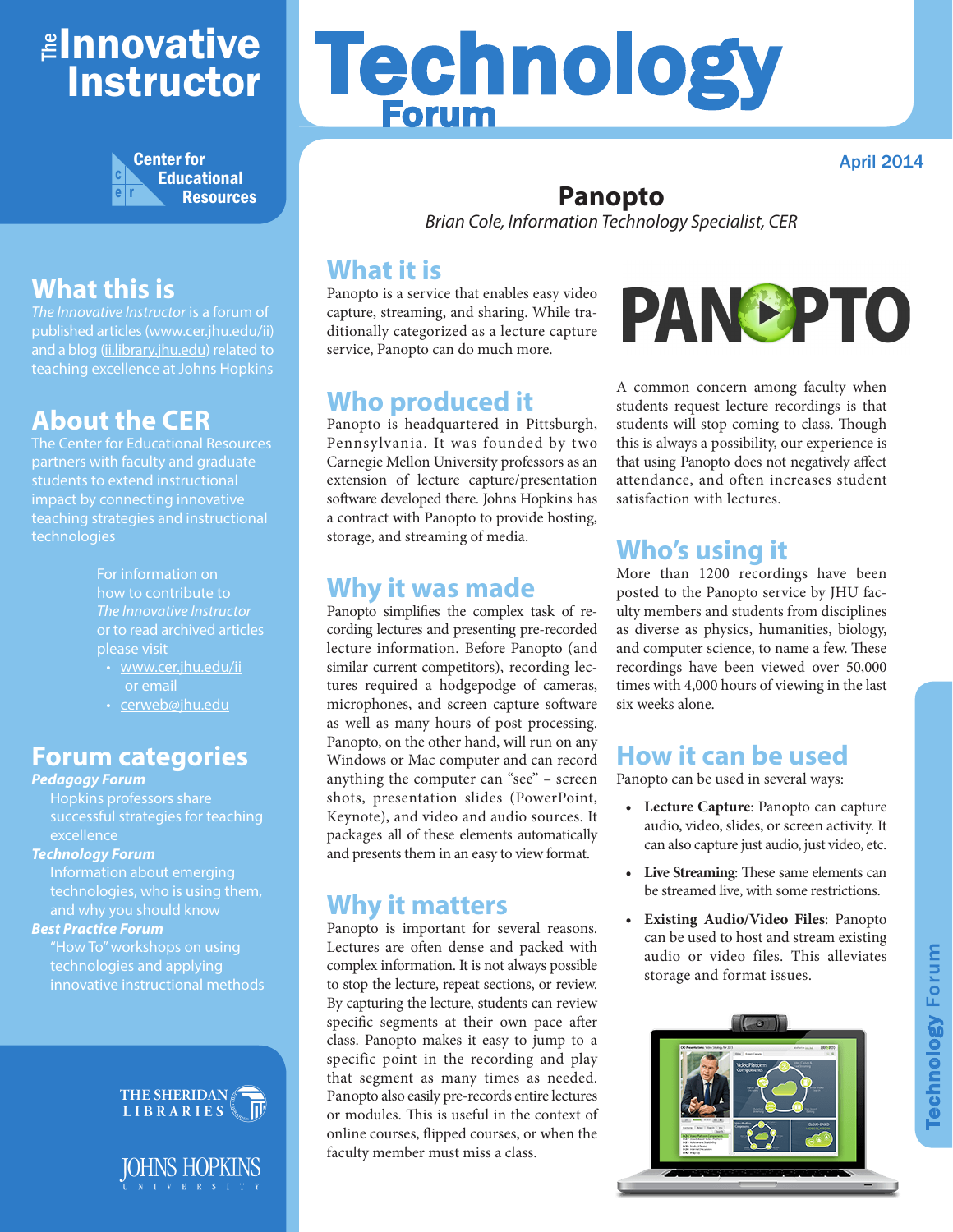## <mark>≇Innovative</mark> Instructor



## **What this is**

*The Innovative Instructor* is a forum of published articles (www.cer.jhu.edu/ii) and a blog (ii.library.jhu.edu) related to teaching excellence at Johns Hopkins

## **About the CER**

The Center for Educational Resources partners with faculty and graduate students to extend instructional impact by connecting innovative teaching strategies and instructional technologies

> For information on how to contribute to *The Innovative Instructor* or to read archived articles please visit

- www.cer.jhu.edu/ii or email
- cerweb@jhu.edu

#### **Forum categories**

#### *Pedagogy Forum*

Hopkins professors share successful strategies for teaching excellence

#### *Technology Forum*

Information about emerging technologies, who is using them, and why you should know

#### *Best Practice Forum*

"How To" workshops on using technologies and applying innovative instructional methods





# Technology Forum

#### April 2014

#### **Panopto**

*Brian Cole, Information Technology Specialist, CER*

#### **What it is**

Panopto is a service that enables easy video capture, streaming, and sharing. While traditionally categorized as a lecture capture service, Panopto can do much more.

#### **Who produced it**

Panopto is headquartered in Pittsburgh, Pennsylvania. It was founded by two Carnegie Mellon University professors as an extension of lecture capture/presentation software developed there. Johns Hopkins has a contract with Panopto to provide hosting, storage, and streaming of media.

#### **Why it was made**

Panopto simplifies the complex task of recording lectures and presenting pre-recorded lecture information. Before Panopto (and similar current competitors), recording lectures required a hodgepodge of cameras, microphones, and screen capture software as well as many hours of post processing. Panopto, on the other hand, will run on any Windows or Mac computer and can record anything the computer can "see" – screen shots, presentation slides (PowerPoint, Keynote), and video and audio sources. It packages all of these elements automatically and presents them in an easy to view format.

#### **Why it matters**

Panopto is important for several reasons. Lectures are often dense and packed with complex information. It is not always possible to stop the lecture, repeat sections, or review. By capturing the lecture, students can review specific segments at their own pace after class. Panopto makes it easy to jump to a specific point in the recording and play that segment as many times as needed. Panopto also easily pre-records entire lectures or modules. This is useful in the context of online courses, flipped courses, or when the faculty member must miss a class.



A common concern among faculty when students request lecture recordings is that students will stop coming to class. Though this is always a possibility, our experience is that using Panopto does not negatively affect attendance, and often increases student satisfaction with lectures.

## **Who's using it**

More than 1200 recordings have been posted to the Panopto service by JHU faculty members and students from disciplines as diverse as physics, humanities, biology, and computer science, to name a few. These recordings have been viewed over 50,000 times with 4,000 hours of viewing in the last six weeks alone.

#### **How it can be used**

Panopto can be used in several ways:

- **• Lecture Capture**: Panopto can capture audio, video, slides, or screen activity. It can also capture just audio, just video, etc.
- **• Live Streaming**: These same elements can be streamed live, with some restrictions.
- **• Existing Audio/Video Files**: Panopto can be used to host and stream existing audio or video files. This alleviates storage and format issues.